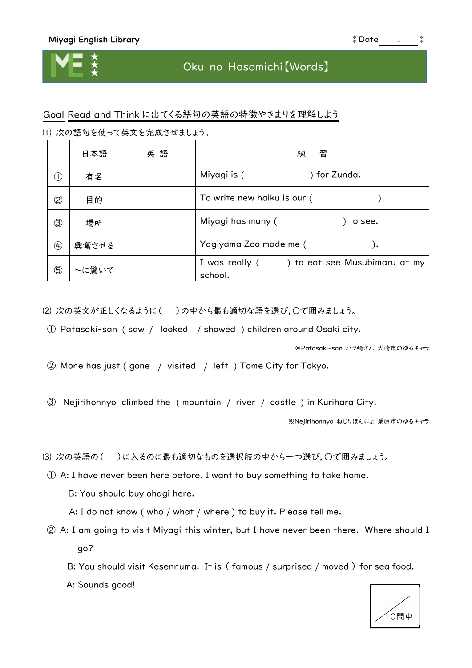## Oku no Hosomichi【Words】

## Goal Read and Think に出てくる語句の英語の特徴やきまりを理解しよう

⑴ 次の語句を使って英文を完成させましょう。

|               | 日本語   | 英語 | 習<br>練                                                 |
|---------------|-------|----|--------------------------------------------------------|
| $($ l         | 有名    |    | Miyagi is (<br>) for Zunda.                            |
| 2             | 目的    |    | To write new haiku is our (<br>, (                     |
| ③             | 場所    |    | Miyagi has many (<br>to see.                           |
| $\circled{4}$ | 興奮させる |    | Yagiyama Zoo made me (<br>. (                          |
| ⑤             | ~に驚いて |    | I was really () to eat see Musubimaru at my<br>school. |

⑵ 次の英文が正しくなるように( )の中から最も適切な語を選び,〇で囲みましょう。

① Patasaki-san ( saw / looked / showed ) children around Osaki city.

※Patasaki-san パタ崎さん 大崎市のゆるキャラ

② Mone has just ( gone / visited / left ) Tome City for Tokyo.

③ Nejirihonnyo climbed the ( mountain / river / castle ) in Kurihara City.

※Nejirihonnyo ねじりほんにょ 栗原市のゆるキャラ

(3) 次の英語の()に入るのに最も適切なものを選択肢の中から一つ選び,○で囲みましょう。

① A: I have never been here before. I want to buy something to take home.

B: You should buy ohagi here.

A: I do not know ( who / what / where ) to buy it. Please tell me.

② A: I am going to visit Miyagi this winter, but I have never been there. Where should I go?

B: You should visit Kesennuma. It is ( famous / surprised / moved ) for sea food.

A: Sounds good!

10問中